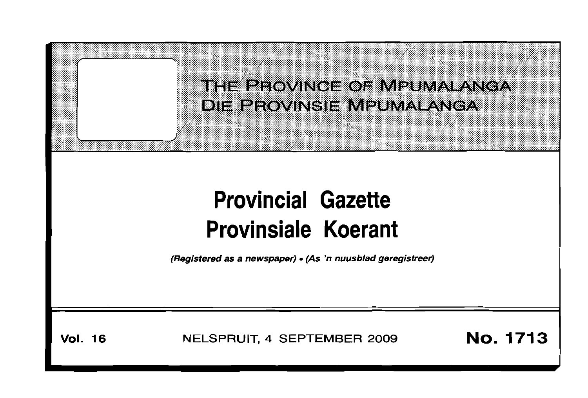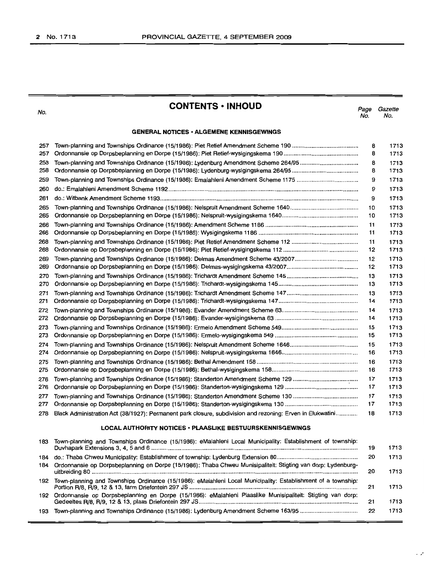No.

# **CONTENTS· INHOllD**

Page Gazette No. No.

## **GENERAL NOTICES· ALGEMENE KENNISGEWINGS**

| 257<br>257 |                                                                                                              | 8<br>8   |
|------------|--------------------------------------------------------------------------------------------------------------|----------|
| 258        | Town-planning and Townships Ordinance (15/1986): Lydenburg Amendment Scheme 264/95                           | 8        |
| 258        |                                                                                                              | 8        |
| 259        |                                                                                                              | 9        |
| 260        |                                                                                                              | 9        |
| 261        |                                                                                                              | 9        |
| 265        |                                                                                                              | 10       |
| 265        |                                                                                                              | 10       |
| 266<br>266 |                                                                                                              | 11<br>11 |
| 268        |                                                                                                              | 11       |
| 268        |                                                                                                              | 12       |
| 269        | Town-planning and Townships Ordinance (15/1986): Delmas Amendment Scheme 43/2007                             | 12       |
| 269        |                                                                                                              | 12       |
| 270<br>270 |                                                                                                              | 13<br>13 |
| 271        |                                                                                                              | 13       |
| 271        |                                                                                                              | 14       |
| 272        |                                                                                                              | 14       |
| 272        |                                                                                                              | 14       |
| 273        |                                                                                                              | 15       |
| 273        |                                                                                                              | 15       |
| 274        |                                                                                                              | 15       |
| 274        |                                                                                                              | 16       |
| 275<br>275 |                                                                                                              | 16<br>16 |
|            |                                                                                                              | 17       |
| 276<br>276 |                                                                                                              | 17       |
| 277        |                                                                                                              | 17       |
| 277        |                                                                                                              | 17       |
| 278        | Black Administration Act (38/1927): Permanent park closure, subdivision and rezoning: Erven in Elukwatini    | 18       |
|            | <b>LOCAL AUTHORITY NOTICES · PLAASLIKE BESTUURSKENNISGEWINGS</b>                                             |          |
| 183        | Town-planning and Townships Ordinance (15/1986): eMalahleni Local Municipality: Establishment of township:   | 19       |
| 184        |                                                                                                              | 20       |
| 184        | Ordonnansie op Dorpsbeplanning en Dorpe (15/1986): Thaba Chweu Munisipaliteit: Stigting van dorp: Lydenburg- | 20       |
| 192        | Town-planning and Townships Ordinance (15/1986): eMalahleni Local Municipality: Establishment of a township: | 21       |
| 192        | Ordonnansie op Dorpsbeplanning en Dorpe (15/1986): eMalahleni Plaaslike Munisipaliteit: Stigting van dorp:   | 21       |
| 193        |                                                                                                              | 22       |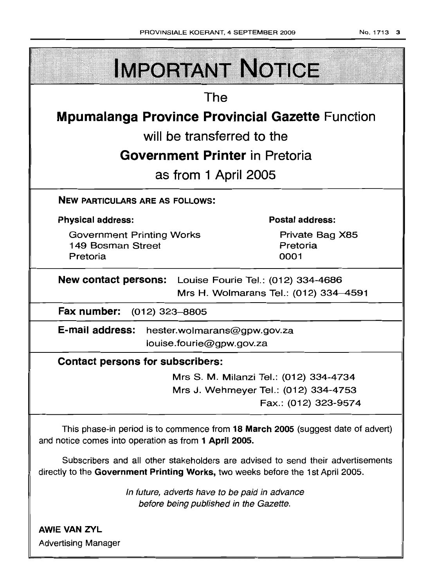| <b>IMPORTANT NOTICE</b>                                                                                                                                            |  |  |  |  |
|--------------------------------------------------------------------------------------------------------------------------------------------------------------------|--|--|--|--|
| The                                                                                                                                                                |  |  |  |  |
| <b>Mpumalanga Province Provincial Gazette Function</b>                                                                                                             |  |  |  |  |
| will be transferred to the                                                                                                                                         |  |  |  |  |
| <b>Government Printer</b> in Pretoria                                                                                                                              |  |  |  |  |
| as from 1 April 2005                                                                                                                                               |  |  |  |  |
| <b>NEW PARTICULARS ARE AS FOLLOWS:</b>                                                                                                                             |  |  |  |  |
| <b>Postal address:</b><br><b>Physical address:</b>                                                                                                                 |  |  |  |  |
| <b>Government Printing Works</b><br>Private Bag X85<br>149 Bosman Street<br>Pretoria<br>Pretoria<br>0001                                                           |  |  |  |  |
| <b>New contact persons:</b> Louise Fourie Tel.: (012) 334-4686<br>Mrs H. Wolmarans Tel.: (012) 334-4591                                                            |  |  |  |  |
| Fax number: (012) 323-8805                                                                                                                                         |  |  |  |  |
| E-mail address: hester.wolmarans@gpw.gov.za<br>louise.fourie@gpw.gov.za                                                                                            |  |  |  |  |
| <b>Contact persons for subscribers:</b>                                                                                                                            |  |  |  |  |
| Mrs S. M. Milanzi Tel.: (012) 334-4734<br>Mrs J. Wehmeyer Tel.: (012) 334-4753<br>Fax.: (012) 323-9574                                                             |  |  |  |  |
| This phase-in period is to commence from 18 March 2005 (suggest date of advert)<br>and notice comes into operation as from 1 April 2005.                           |  |  |  |  |
| Subscribers and all other stakeholders are advised to send their advertisements<br>directly to the Government Printing Works, two weeks before the 1st April 2005. |  |  |  |  |
| In future, adverts have to be paid in advance<br>before being published in the Gazette.                                                                            |  |  |  |  |
| <b>AWIE VAN ZYL</b><br><b>Advertising Manager</b>                                                                                                                  |  |  |  |  |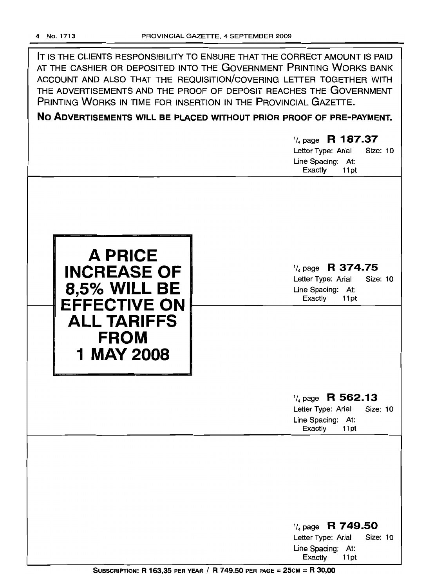IT IS THE CLIENTS RESPONSIBILITY TO ENSURE THAT THE CORRECT AMOUNT IS PAID AT THE CASHIER OR DEPOSITED INTO THE GOVERNMENT PRINTING WORKS BANK ACCOUNT AND ALSO THAT THE REQUISITION/COVERING LETTER TOGETHER WITH THE ADVERTISEMENTS AND THE PROOF OF DEPOSIT REACHES THE GOVERNMENT PRINTING WORKS IN TIME FOR INSERTION IN THE PROVINCIAL GAZETTE.

**No ADVERTISEMENTS WILL BE PLACED WITHOUT PRIOR PROOF OF PRE-PAYMENT.**

# '/4 page **R 187.37** Letter Type: Arial Size: 10 Line Spacing: At: Exactly 11pt



1/4 page **R 374.75**

Letter Type: Arial Size: 10 Line Spacing: At: Exactly 11 pt

# <sup>1</sup>/<sub>4</sub> page **R 562.13**<br>Letter Type: Arial Size: 10

Letter Type: Arial Line Spacing: At: Exactly 11 pt

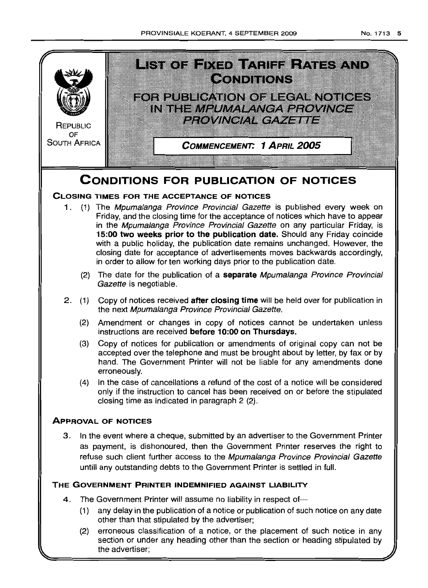

refuse such client further access to the Mpumalanga Province Provincial Gazette untill any outstanding debts to the Government Printer is settled in full.

# **THE GOVERNMENT PRINTER INDEMNIFIED AGAINST LIABILITY**

- 4. The Government Printer will assume no liability in respect of-
	- (1) any delay in the publication of a notice or publication of such notice on any date other than that stipulated by the advertiser;
	- (2) erroneous classification of a notice, or the placement of such notice in any section or under any heading other than the section or heading stipulated by the advertiser;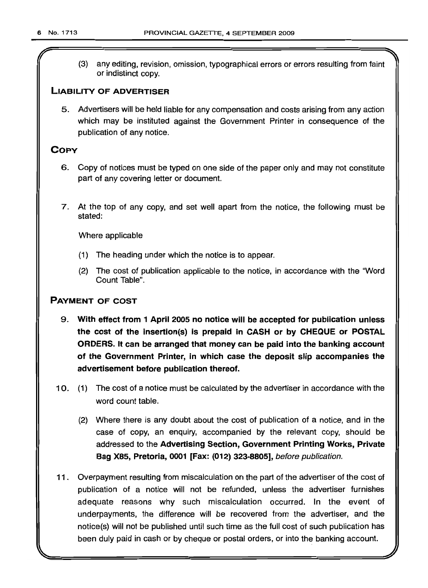r

(3) any editing, revision, omission, typographical errors or errors resulting from faint or indistinct copy.

# LIABILITY OF ADVERTISER

5. Advertisers will be held liable for any compensation and costs arising from any action which may be instituted against the Government Printer in consequence of the publication of any notice.

# **COPY**

- 6. Copy of notices must be typed on one side of the paper only and may not constitute part of any covering letter or document.
- 7. At the top of any copy, and set well apart from the notice, the following must be stated:

Where applicable

- (1) The heading under which the notice is to appear.
- (2) The cost of publication applicable to the notice, in accordance with the "Word Count Table".

# PAYMENT OF COST

- 9. With effect from 1 April 2005 no notice will be accepted for publication unless the cost of the insertion(s) is prepaid in CASH or by CHEQUE or POSTAL ORDERS. It can be arranged that money can be paid into the banking account of the Government Printer, in which case the deposit slip accompanies the advertisement before publication thereof.
- 10. (1) The cost of a notice must be calculated by the advertiser in accordance with the word count table.
	- (2) Where there is any doubt about the cost of publication of a notice, and in the case of copy, an enquiry, accompanied by the relevant copy, should be addressed to the Advertising Section, Government Printing Works, Private Bag X85, Pretoria, 0001 [Fax: (012) 323-8805], before publicetion.
- 11. Overpayment resulting from miscalculation on the part of the advertiser of the cost of publication of a notice will not be refunded, unless the advertiser furnishes adequate reasons why such miscalculation occurred. In the event of underpayments, the difference will be recovered from the advertiser, and the notice(s) will not be published until such time as the full cost of such publication has been duly paid in cash or by cheque or postal orders, or into the banking account.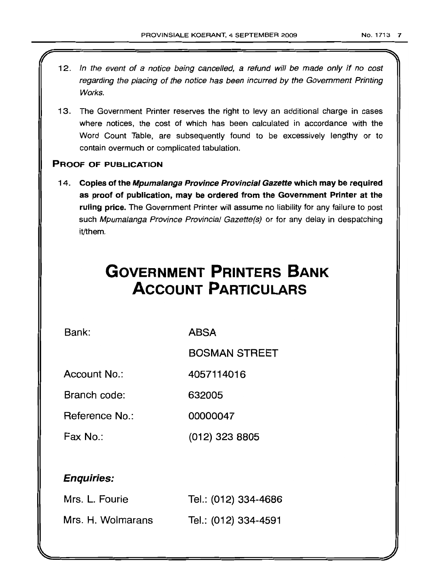- 12. In the event of a notice being cancelled, a refund will be made only if no cost regarding the placing of the notice has been incurred by the Government Printing Works.
- 13. The Government Printer reserves the right to levy an additional charge in cases where notices, the cost of which has been calculated in accordance with the Word Count Table, are subsequently found to be excessively lengthy or to contain overmuch or complicated tabulation.

# PROOF OF PUBLICATION

14. Copies of the Mpumalanga Province Provincial Gazette which may be required as proof of publication, may be ordered from the Government Printer at the ruling price. The Government Printer will assume no liability for any failure to post such Mpumalanga Province Provincial Gazette(s) or for any delay in despatching it/them.

# **GOVERNMENT PRINTERS BANK ACCOUNT PARTICULARS**

Bank: ABSA

BOSMAN STREET

Account No.: 4057114016

Branch code: 632005

Reference No.: 00000047'

Fax No.: (012) 323 8805

# Enquiries:

| Mrs. L. Fourie    | Tel.: (012) 334-4686 |
|-------------------|----------------------|
| Mrs. H. Wolmarans | Tel.: (012) 334-4591 |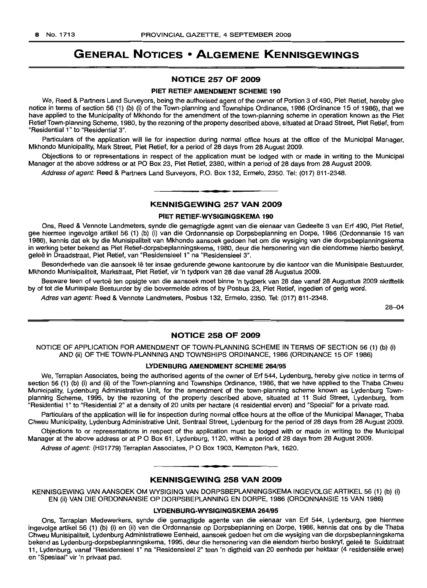# **GENERAL NOTICES • ALGEMENE KENNISGEWINGS**

## **NOTICE 257 OF 2009**

#### **PIET RETIEF AMENDMENT SCHEME 190**

We, Reed & Partners Land Surveyors, being the authorised agent of the owner of Portion 3 of 490, Piet Retief, hereby give notice in terms of section 56 (1) (b) (i) of the Town-planning and Townships Ordinance, 1986 (Ordinance 15 of 1986), that we have applied to the Municipality of Mkhondo for the amendment of the town-planning scheme in operation known as the Piet Retief Town-planning Scheme, 1980, by the rezoning of the property described above, situated at Draad Street, Piet Retief, from "Residential 1" to "Residential 3".

Particulars of the application will lie for inspection during normal office hours at the office of the Municipal Manager, Mkhondo Municipality, Mark Street, Piet Retief, for a period of 28 days from 28 August 2009.

Objections to or representations in respect of the application must be lodged with or made in writing to the Municipal Manager at the above address or at PO Box 23, Piet Retief, 2380, within a period of 28 days from 28 August 2009.

Address of agent: Reed & Partners Land Surveyors, P.O. Box 132, Ermelo, 2350. Tel: (017) 811-2348.

# **• KENNISGEWING 257 VAN 2009**

#### **PIET RETIEF-WYSIGINGSKEMA 190**

Ons, Reed & Vennote Landmeters, synde die gemagtigde agent van die eienaar van Gedeelte 3 van Erf 490, Piet Retief, gee hiermee ingevolge artikel 56 (1) (b) (i) van die Ordonnansie op Dorpsbeplanning en Dorpe, 1986 (Ordonnansie 15 van 1986), kennis dat ek by die Munisipaliteit van Mkhondo aansoek gedoen het om die wysiging van die dorpsbeplanningskema in werking beter bekend as Piet Retief-dorpsbeplanningskema, 1980, deur die hersonering van die eiendomme hierbo beskryf, geleë in Draadstraat, Piet Retief, van "Residensieel 1" na "Residensieel 3".

Besonderhede van die aansoek lê ter insae gedurende gewone kantoorure by die kantoor van die Munisipale Bestuurder, Mkhondo Munisipaliteit, Markstraat, Piet Retief, vir 'n tydperk van 28 dae vanaf 28 Augustus 2009.

Besware teen of vertoe ten opsigte van die aansoek moet binne 'n tydperk van 28 dae vanaf 28 Augustus 2009 skriftelik by of tot die Munisipale Bestuurder by die bovermelde adres of by Posbus 23, Piet Retief, ingedien of gerig word.

Adres van agent: Reed & Vennote Landmeters, Posbus 132, Ermelo, 2350. Tel: (017) 811-2348.

26-04

#### **NOTICE 258 OF 2009**

NOTICE OF APPLICATION FOR AMENDMENT OF TOWN-PLANNING SCHEME IN TERMS OF SECTION 56 (1) (b) (i) AND (ii) OF THE TOWN-PLANNING AND TOWNSHIPS ORDINANCE, 1986 (ORDINANCE 15 OF 1986)

#### **LYDENBURG AMENDMENT SCHEME** 264/95

We, Terraplan Associates, being the authorised agents of the owner of Erf 544, Lydenburg, hereby give notice in terms of section 56 (1) (b) (i) and (ii) of the Town-planning and Townships Ordinance, 1986, that we have applied to the Thaba Chweu Municipality, Lydenburg Administrative Unit, for the amendment of the town-planning scheme known as Lydenburg Townplanning Scheme, 1995, by the rezoning of the property described above, situated at 11 Suid Street, Lydenburg, from "Residential 1" to "Residential 2" at a density of 20 units per hectare (4 residential erven) and "Special" for a private road.

Particulars of the application will lie for inspection during normal office hours at the office of the Municipal Manager, Thaba Chweu Municipality, Lydenburg Administrative Unit, Sentraal Street, Lydenburg for the period of 28 days from 28 August 2009.

Objections to or representations in respect of the application must be lodged with or made in writing to the Municipal Manager at the above address or at P O Box 61, Lydenburg, 1120, within a period of 28 days from 28 August 2009.

Adress of agent: (HS1779) Terraplan Associates, P O Box 1903, Kempton Park, 1620.

# **• KENNISGEWING 258 VAN 2009**

KENNISGEWING VAN MNSOEK OM WYSIGING VAN DORPSBEPLANNINGSKEMA INGEVOLGE ARTIKEL 56 (1) (b) (i) EN (ii) VAN DIE ORDONNANSIE OP DORPSBEPLANNING EN DORPE, 1986 (ORDONNANSIE 15 VAN 1986)

#### **LYDENBURG·WYSIGINGSKEMA** 264/95

Ons, Terraplan Medewerkers, synde die gemagtigde agente van die eienaar van Erf 544, Lydenburg, gee hiermee ingevolge artikel 56 (1) (b) (i) en (ii) van die Ordonnansie op Dorpsbeplanning en Dorpe, 1986, kennis dat ons by die Thaba Chweu Munisipaliteit, Lydenburg Administratiewe Eenheid, aansoek gedoen het om die wysiging van die dorpsbeplanningskema bekend as Lydenburg-dorpsbeplanningskema, 1995, deur die hersonering van die eiendom hierbo beskryf, gelee te Suidstraat 11, Lydenburg, vanaf "Residensieel 1" na "Residensieel 2" teen 'n digtheid van 20 eenhede per hektaar (4 residensiele erwe) en "Spesiaal" vir 'n privaat pad.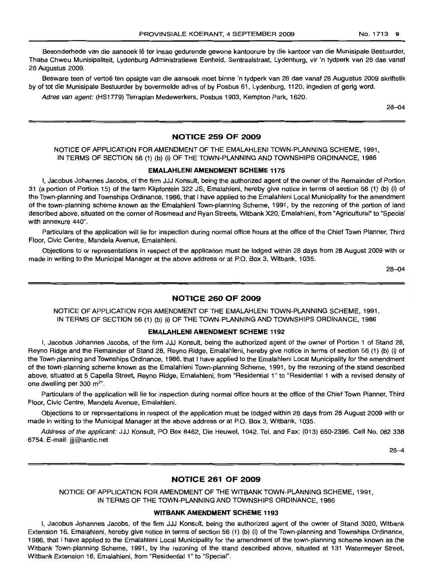Besonderhede van die aansoek lê ter insae gedurende gewone kantoorure by die kantoor van die Munisipale Bestuurder, Thaba Chweu Munisipaliteit, Lydenburg Administratiewe Eenheid, Sentraalstraat, Lydenburg, vir 'n tydperk van 28 dae vanaf 28 Augustus 2009.

Besware teen of vertoe ten opsigte van die aansoek moet binne 'n tydperk van 28 dae vanaf 28 Augustus 2009 skriftelik by of tot die Munisipale Bestuurder by bovermelde adres of by Posbus 61, Lydenburg, 1120, ingedien of gerig word.

Adres van agent: (HS1779) Terraplan Medewerkers, Posbus 1903, Kempton Park, 1620.

28-04

#### **NOTICE 259 OF 2009**

## NOTICE OF APPLICATION FOR AMENDMENT OF THE EMALAHLENI TOWN-PLANNING SCHEME, 1991, IN TERMS OF SECTION 56 (1) (b) (i) OF THE TOWN-PLANNING AND TOWNSHIPS ORDINANCE, 1986

#### **EMALAHLENI AMENDMENT SCHEME** 1175

I, Jacobus Johannes Jacobs, of the firm JJJ Konsult, being the authorized agent of the owner of the Remainder of Portion 31 (a portion of Portion 15) of the farm Klipfontein 322 JS, Emalahleni, hereby give notice in terms of section 56 (1) (b) (i) of the Town-planning and Townships Ordinance, 1986, that I have applied to the Emalahleni Local Municipality for the amendment of the town-planning scheme known as the Emalahleni Town-planning Scheme, 1991, by the rezoning of the portion of land described above, situated on the corner of Rosmead and Ryan Streets, Witbank X20, Emalahleni, from "Agricultural" to "Special with annexure 440".

Particulars of the application will lie for inspection during normal office hours at the office of the Chief Town Planner, Third Floor, Civic Centre, Mandela Avenue, Emalahleni.

Objections to or representations in respect of the application must be lodged within 28 days from 28 August 2009 with or made in writing to the Municipal Manager at the above address or at P.O. Box 3, Witbank, 1035.

28-04

#### **NOTICE 260 OF 2009**

NOTICE OF APPLICATION FOR AMENDMENT OF THE EMALAHLENI TOWN-PLANNING SCHEME, 1991, IN TERMS OF SECTION 56 (1) (b) (i) OF THE TOWN-PLANNING AND TOWNSHIPS ORDINANCE, 1986

#### **EMALAHLENI AMENDMENT SCHEME** 1192

I, Jacobus Johannes Jacobs, of the firm JJJ Konsult, being the authorized agent of the owner of Portion 1 of Stand 28, Reyno Ridge and the Remainder of Stand 28, Reyno Ridge, Emalahleni, hereby give notice in terms of section 56 (1) (b) (i) of the Town-planning and Townships Ordinance, 1986, that I have applied to the Emalahleni Local Municipality for the amendment of the town-planning scheme known as the Emalahleni Town-planning Scheme, 1991, by the rezoning of the stand described above, situated at 5 Capella Street, Reyno Ridge, Emalahleni, from "Residential 1" to "Residential 1 with a revised density of one dwelling per 300  $m<sup>2</sup>$ .

Particulars of the application will lie for inspection during normal office hours at the office of the Chief Town Planner, Third Floor, Civic Centre, Mandela Avenue, Emalahleni.

Objections to or representations in respect of the application must be lodged within 28 days from 28 August 2009 with or made in writing to the Municipal Manager at the above address or at P.O. Box 3, Witbank, 1035.

Address of the applicant: JJJ Konsult, PO Box 8462, Die Heuwel, 1042. Tel. and Fax: (013) 650-2396. Cell No. 082 338 6754. E-mail: jjj@lantic.net

28-4

#### **NOTICE 261 OF 2009**

NOTICE OF APPLICATION FOR AMENDMENT OF THE WITBANK TOWN-PLANNING SCHEME, 1991, IN TERMS OF THE TOWN-PLANNING AND TOWNSHIPS ORDINANCE, 1986

#### **WITBANK AMENDMENT SCHEME** 1193

I, Jacobus Johannes Jacobs, of the firm JJJ Konsult, being the authorized agent of the owner of Stand 3020, Witbank Extension 16, Emalahleni, hereby give notice in terms of section 56 (1) (b) (i) of the Town-planning and Townships Ordinance, 1986, that I have applied to the Emalahleni Local Municipality for the amendment of the town-planning scheme known as the Witbank Town-planning Scheme, 1991, by the rezoning of the stand described above, situated at 131 Watermeyer Street, Witbank Extension 16, Emalahleni, from "Residential 1" to "Special".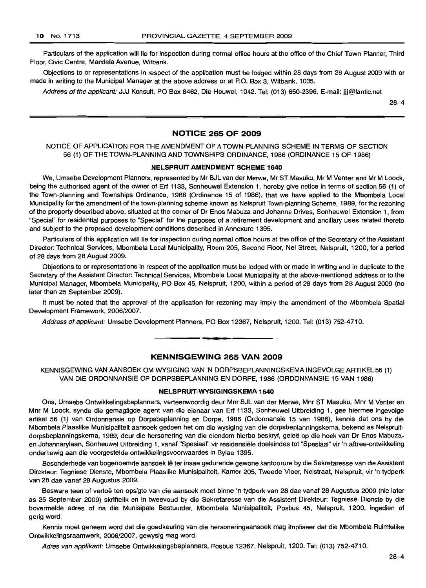Particulars of the application will lie for inspection during normal office hours at the office of the Chief Town Planner, Third Floor, Civic Centre, Mandela Avenue, Witbank.

Objections to or representations in respect of the application must be lodged within 28 days from 28 August 2009 with or made in writing to the Municipal Manager at the above address or at P.O. Box 3, Witbank, 1035.

Address of the applicant: JJJ Konsult, PO Box 8462, Die Heuwel, 1042. Tel: (013) 650-2396. E-mail: jjj@lantic.net

28-4

#### **NOTICE 265 OF 2009**

NOTICE OF APPLICATION FOR THE AMENDMENT OF A TOWN-PLANNING SCHEME IN TERMS OF SECTION 56 (1) OF THE TOWN-PLANNING AND TOWNSHIPS ORDINANCE, 1986 (ORDINANCE 15 OF 1986)

#### **NELSPRUIT AMENDMENT SCHEME 1640**

We, Umsebe Development Planners, represented by Mr BJL van der Merwe, Mr ST Masuku, Mr M Venter and Mr M Loock, being the authorised agent of the owner of Erf 1133, Sonheuwel Extension 1, hereby give notice in terms of section 56 (1) of the Town-planning and Townships Ordinance, 1986 (Ordinance 15 of 1986), that we have applied to the Mbombela Local Municipality for the amendment of the town-planning scheme known as Nelspruit Town-planning Scheme, 1989, for the rezoning of the property described above, situated at the corner of Dr Enos Mabuza and Johanna Drives, Sonheuwel Extension 1, from "Special" for residential purposes to "Special" for the purposes of a retirement development and ancillary uses related thereto and subject to the proposed development conditions described in Annexure 1395.

Particulars of this application will lie for inspection during normal office hours at the office of the Secretary of the Assistant Director: Technical Services, Mbombela Local Municipality, Room 205, Second Floor, Nel Street, Nelspruit, 1200, for a period of 28 days from 28 August 2009.

Objections to or representations in respect of the application must be lodged with or made in writing and in duplicate to the Secretary of the Assistant Director: Technical Services, Mbombela Local Municipality at the above-mentioned address or to the Municipal Manager, Mbombela Municipality, PO Box 45, Nelspruit, 1200, within a period of 28 days from 28 August 2009 (no later than 25 September 2009).

It must be noted that the approval of the application for rezoning may imply the amendment of the Mbombela Spatial Development Framework, 2006/2007.

Address of applicant: Umsebe Development Planners, PO Box 12367, Nelspruit, 1200. Tel: (013) 752-4710.

#### **KENNISGEWING 265 VAN 2009**

**• •**

KENNISGEWING VAN AANSOEK OM WYSIGING VAN 'N DORPSBEPLANNINGSKEMA INGEVOLGE ARTIKEL 56 (1) VAN DIE ORDONNANSIE OP DORPSBEPLANNING EN DORPE, 1986 (ORDONNANSIE 15 VAN 1986)

#### **NELSPRUIT-WYSIGINGSKEMA 1640**

Ons, Umsebe Ontwikkelingsbeplanners, verteenwoordig deur Mnr BJL van der Merwe, Mnr ST Masuku, Mnr M Venter en Mnr M Loock, synde die gemagtigde agent van die eienaar van Erf 1133, Sonheuwel Uitbreiding 1, gee hiermee ingevolge artikel 56 (1) van Ordonnansie op Dorpsbeplanning en Dorpe, 1986 (Ordonnansie 15 van 1986), kennis dat ons by die Mbombela Plaaslike Munisipaliteit aansoek gedoen het om die wysiging van die dorpsbeplanningskema, bekend as Nelspruitdorpsbeplanningskema, 1989, deur die hersonering van die eiendom hierbo beskryf, gelee op die hoek van Dr Enos Mabuzaen Johannarylaan, Sonheuwel Uitbreiding 1, vanaf "Spesiaal" vir residensiële doeleindes tot "Spesiaal" vir 'n aftree-ontwikkeling onderhewig aan die voorgestelde ontwikkelingsvoorwaardes in Bylae 1395.

Besonderhede van bogenoemde aansoek lê ter insae gedurende gewone kantoorure by die Sekretaresse van die Assistent Direkteur: Tegniese Dienste, Mbombela Piaaslike Munisipaliteit, Kamer 205, Tweede Vloer, Nelstraat, Nelspruit, vir 'n tydperk van 28 dae vanaf 28 Augustus 2009.

Besware teen of vertoe ten opsigte van die aansoek moet binne 'n tydperk van 28 dae vanaf 28 Augustus 2009 (nie later as 25 September 2009) skriftelik en in tweevoud by die Sekretaresse van die Assistent Direkteur: Tegniese Dienste by die bovermelde adres of na die Munisipale Bestuurder, Mbombela Munisipaliteit, Posbus 45, Nelspruit, 1200, ingedien of gerig word.

Kennis moet geneem word dat die goedkeuring van die hersoneringaansoek mag impliseer dat die Mbombela Ruimtelike Ontwikkelingsraamwerk, 2006/2007, gewysig mag word.

Adres van applikant: Umsebe Ontwikkelingsbeplanners, Posbus 12367, Nelspruit, 1200. Tel: (013) 752-4710.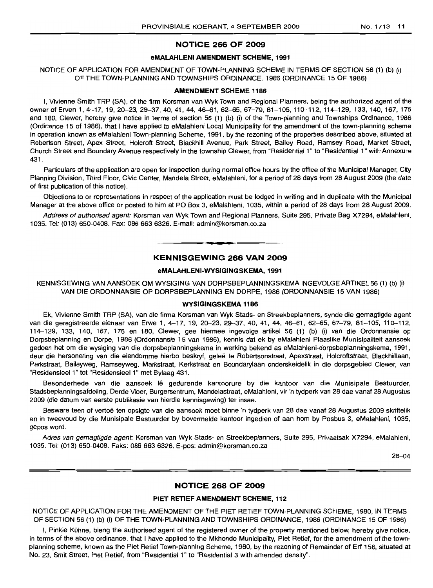#### **NOTICE 266 OF 2009**

### **eMALAHLENI AMENDMENT SCHEME, 1991**

NOTICE OF APPLICATION FOR AMENDMENT OF TOWN-PLANNING SCHEME IN TERMS OF SECTION 56 (1) (b) (i) OF THE TOWN-PLANNING AND TOWNSHIPS ORDINANCE, 1986 (ORDINANCE 15 OF 1986)

#### **AMENDMENT SCHEME 1186**

I, Vivienne Smith TRP (SA), of the firm Korsman van Wyk Town and Regional Planners, being the authorized agent of the owner of Erven 1, 4-17, 19, 20-23, 29-37, 40, 41, 44, 46-61, 62-65, 67-79, 81-105, 110-112, 114-129, 133, 140, 167, 175 and 180, Clewer, hereby give notice in terms of section 56 (1) (b) (i) of the Town-planning and Townships Ordinance, 1986 (Ordinance 15 of 1986), that I have applied to eMalahleni Local Municipality for the amendment of the town-planning scheme in operation known as eMalahleni Town-planning Scheme, 1991, by the rezoning of the properties described above, situated at Robertson Street, Apex Street, Holcroft Street, Blackhill Avenue, Park Street, Bailey Road, Ramsey Road, Market Street, Church Street and Boundary Avenue respectively in the township Clewer, from "Residential 1" to "Residential 1" with Annexure 431.

Particulars of the application are open for inspection during normal office hours by the office of the Municipal Manager, City Planning Division, Third Floor, Civic Center, Mandela Street, eMalahleni, for a period of 28 days from 28 August 2009 (the date of first publication of this notice).

Objections to or representations in respect of the application must be lodged in writing and in duplicate with the Municipal Manager at the above office or posted to him at PO Box 3, eMalahleni, 1035, within a period of 28 days from 28 August 2009.

Address of authorised agent: Korsman van Wyk Town and Regional Planners, Suite 295, Private Bag X7294, eMalahleni, 1035. Tel: (013) 650-0408. Fax: 086 663 6326. E-mail: admin@korsman.co.za

# **• KENNISGEWING 266 VAN 2009**

#### **eMALAHLENI-WYSIGINGSKEMA, 1991**

KENNISGEWING VAN AANSOEK OM WYSIGING VAN DORPSBEPLANNINGSKEMA INGEVOLGEARTIKEL56 (1) (b) (i) VAN DIE ORDONNANSIE OP DORPSBEPLANNING EN DORPE, 1986 (ORDONNANSIE 15 VAN 1986)

#### **WYSIGINGSKEMA 1186**

Ek, Vivienne Smith TRP (SA), van die firma Korsman van Wyk Stads- en Streekbeplanners, synde die gemagtigde agent van die geregistreerde eienaar van Erwe 1, 4-17, 19, 20-23, 29-37, 40, 41, 44, 46-61, 62-65, 67-79, 81-105, 110-112, 114-129, 133, 140, 167, 175 en 180, Clewer, gee hiermee ingevolge artikel 56 (1) (b) (i) van die Ordonnansie op Dorpsbeplanning en Dorpe, 1986 (Ordonnansie 15 van 1986), kennis dat ek by eMalahleni Plaaslike Munisipaliteit aansoek gedoen het om die wysiging van die dorpsbeplanningskema in werking bekend as eMalahleni-dorpsbeplanningskema, 1991, deur die hersonering van die eiendomme hierbo beskryf, geleë te Robertsonstraat, Apexstraat, Holcroftstraat, Blackhilllaan, Parkstraat, Baileyweg, Ramseyweg, Markstraat, Kerkstraat en Boundarylaan onderskeidelik in die dorpsgebied Clewer, van "Residensieel 1" tot "Residensieel 1" met Bylaag 431.

Besonderhede van die aansoek lê gedurende kantoorure by die kantoor van die Munisipale Bestuurder, Stadsbeplanningsafdeling, Derde Vloer, Burgersentrum, Mandelastraat, eMalahleni, vir 'n tydperk van 28 dae vanaf 28 Augustus 2009 (die datum van eerste publikasie van hierdie kennisgewing) ter insae.

Besware teen of vertoe ten opsigte van die aansoek moet binne 'n tydperk van 28 dae vanaf 28 Augustus 2009 skriftelik en in tweevoud by die Munisipale Bestuurder by bovermelde kantoor ingedien of aan hom by Posbus 3, eMalahleni, 1035, gepos word.

Adres van gemagtigde agent: Korsman van Wyk Stads- en Streekbeplanners, Suite 295, Privaatsak X7294, eMalahleni, 1035. Tel: (013) 650-0408. Faks: 086 663 6326. E-pos: admin@korsman.co.za

28--04

#### **NOTICE 268 OF 2009**

#### **PIET RETIEFAMENDMENT SCHEME, 112**

NOTICE OF APPLICATION FOR THE AMENDMENT OF THE PIET RETIEF TOWN-PLANNING SCHEME, 1980, IN TERMS OF SECTION 56 (1) (b) (i) OF THE TOWN-PLANNING AND TOWNSHIPS ORDINANCE, 1986 (ORDINANCE 15 OF 1986)

I, Pinkie Kuhne, bieng the authorised agent of the registered owner of the property mentioned below, hereby give notice, in terms of the above ordinance, that I have applied to the Mkhondo Municipality, Piet Retief, for the amendment of the townplanning scheme, known as the Piet Retief Town-planning Scheme, 1980, by the rezoning of Remainder of Erf 156, situated at No. 23, Smit Street, Piet Retief, from "Residential 1" to "Residential 3 with amended density".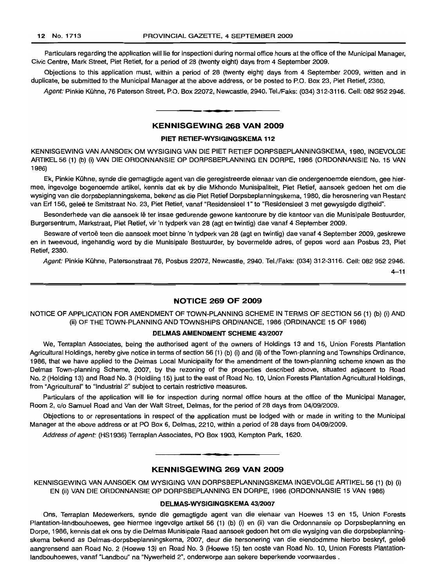Particulars regarding the application will lie for inspectioni during normal office hours at the office of the Municipal Manager, Civic Centre, Mark Street, Piet Retief, for a period of 28 (twenty eight) days from 4 September 2009.

Objections to this application must, within a period of 28 (twenty eight) days from 4 September 2009, written and in duplicate, be submitted to the Municipal Manager at the above address, or be posted to P.O. Box 23, Piet Retief, 2380.

Agent: Pinkie Kuhne, 76 Paterson Street, P.O. Box 22072, Newcastle, 2940. Tel./Faks: (034) 312-3116. Cell: 082 952 2946.

#### KENNISGEWING 268 VAN 2009

**• •**

#### PIET RETIEF-WYSIGINGSKEMA 112

KENNISGEWING VAN AANSOEK OM WYSIGING VAN DIE PIET RETIEF DORPSBEPLANNINGSKEMA, 1980, INGEVOLGE ARTIKEL56 (1) (b) (i) VAN DIE ORDONNANSIE OP DORPSBEPLANNING EN DORPE, 1986 (ORDONNANSIE No. 15 VAN 1986)

Ek, Pinkie Kuhne, synde die gemagtigde agent van die geregistreerde eienaar van die ondergenoemde eiendom, gee hiermee, ingevolge bogenoemde artikel, kennis dat ek by die Mkhondo Munisipaliteit, Piet Retief, aansoek gedoen het om die wysiging van die dorpsbeplanningskema, bekend as die Piet Retief Dorpsbeplanningskema, 1980, die herosnering van Restant van Erf 156, geleë te Smitstraat No. 23, Piet Retief, vanaf "Residensieel 1" to "Residensieel 3 met gewysigde digtheid".

Besonderhede van die aansoek lê ter insae gedurende gewone kantoorure by die kantoor van die Munisipale Bestuurder, Burgersentrum, Markstraat, Piet Retief, vir 'n tydperk van 28 (agt en twintig) dae vanaf 4 September 2009.

Besware of vertoe teen die aansoek moet binne 'n tydperk van 28 (agt en twintig) dae vanaf 4 September 2009, geskrewe en in tweevoud, ingehandig word by die Munisipale Bestuurder, by bovermelde adres, of gepos word aan Posbus 23, Piet Retief, 2380.

Agent: Pinkie Kuhne, Patersonstraat 76, Posbus 22072, Newcastle, 2940. Tel./Faks: (034) 312-3116. Cell: 082 952 2946.

 $4 - 11$ 

#### NOTICE 269 OF 2009

NOTICE OF APPLICATION FOR AMENDMENT OF TOWN-PLANNING SCHEME IN TERMS OF SECTION 56 (1) (b) (i) AND (ii) OF THE TOWN-PLANNING AND TOWNSHIPS ORDINANCE, 1986 (ORDINANCE 15 OF 1986)

#### DELMAS AMENDMENT SCHEME 43/2007

We, Terraplan Associates, being the authorised agent of the owners of Holdings 13 and 15, Union Forests Plantation Agricultural Holdings, hereby give notice in terms of section 56 (1) (b) (i) and (ii) of the Town-planning and Townships Ordinance, 1986, that we have applied to the Delmas Local Municipality for the amendment of the town-planning scheme known as the Delmas Town-planning Scheme, 2007, by the rezoning of the properties described above, situated adjacent to Road No. 2 (Holding 13) and Road No. 3 (Holdiing 15) just to the east of Road No. 10, Union Forests Plantation Agricultural Holdings, from "Agricultural" to "Industrial 2" subject to certain restrictive measures.

Particulars of the application will lie for inspection during normal office hours at the office of the Municipal Manager, Room 2, c/o Samuel Road and Van der Walt Street, Delmas, for the period of 28 days from 04/09/2009.

Objections to or representations in respect of the application must be lodged with or made in writing to the Municipal Manager at the above address or at PO Box 6, Delmas, 2210, within a period of 28 days from 04/09/2009.

Address of agent: (HS1936) Terraplan Associates, PO Box 1903, Kempton Park, 1620.

# **•** KENNISGEWING 269 VAN 2009

KENNISGEWING VAN AANSOEK OM WYSIGING VAN DORPSBEPLANNINGSKEMA INGEVOLGE ARTIKEL 56 (1) (b) (i) EN (ii) VAN DIE ORDONNANSIE OP DORPSBEPLANNING EN DORPE, 1986 (ORDONNANSIE 15 VAN 1986)

#### DELMAS-WYSIGINGSKEMA 43/2007

Ons, Terraplan Medewerkers, synde die gemagtigde agent van die eienaar van Hoewes 13 en 15, Union Forests Plantation-Iandbouhoewes, gee hiermee ingevolge artikel 56 (1) (b) (i) en (ii) van die Ordonnansie op Dorpsbeplanning en Dorpe, 1986, kennis dat ek ons by die Delmas Munisipale Raad aansoek gedoen het om die wysiging van die dorpsbeplanningskema bekend as Delmas-dorpsbeplanningskema, 2007, deur die hersonering van die eiendodmme hierbo beskryf, gelee aangrensend aan Road NO.2 (Hoewe 13) en Road No.3 (Hoewe 15) ten ooste van Road No. 10, Union Forests Plantationlandbouhoewes, vanaf "Landbou" na "Nywerheid 2", onderworpe aan sekere beperkende voorwaardes.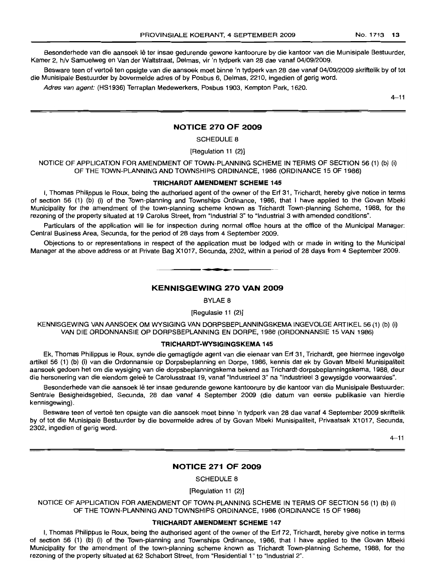Besonderhede van die aansoek lê ter insae gedurende gewone kantoorure by die kantoor van die Munisipale Bestuurder, Kamer 2, h/v Samuelweg en Van der Waltstraat, Delmas, vir 'n tydperk van 28 dae vanaf 04/09/2009.

Besware teen of vertoë ten opsigte van die aansoek moet binne 'n tydperk van 28 dae vanaf 04/09/2009 skriftelik by of tot die Munisipale Bestuurder by bovermelde adres of by Posbus 6, Delmas, 2210, ingedien of gerig word.

Adres van agent: (HS1936) Terraplan Medewerkers, Posbus 1903, Kempton Park, 1620.

 $4 - 11$ 

#### **NOTICE 270 OF 2009**

SCHEDULE 8

[Regulation 11 (2)]

NOTICE OF APPLICATION FOR AMENDMENT OF TOWN-PLANNING SCHEME IN TERMS OF SECTION 56 (1) (b) (i) OF THE TOWN-PLANNING AND TOWNSHIPS ORDINANCE, 1986 (ORDINANCE 15 OF 1986)

#### **TRICHARDT AMENDMENT SCHEME** 145

I, Thomas Philippus Ie Roux, being the authorised agent of the owner of the Erf 31, Trichardt, hereby give notice in terms of section 56 (1) (b) (i) of the Town-planning and Townships Ordinance, 1986, that I have applied to the Govan Mbeki Municipality for the amendment of the town-planning scheme known as Trichardt Town-planning Scheme, 1988, for the rezoning of the property situated at 19 Carolus Street, from "Industrial 3" to "Industrial 3 with amended conditions".

Particulars of the application will lie for inspection during normal office hours at the office of the Municipal Manager: Central Business Area, Secunda, for the period of 28 days from 4 September 2009.

Objections to or representations in respect of the application must be lodged with or made in writing to the Municipal Manager at the above address or at Private Bag X1017, Secunda, 2302, within a period of 28 days from 4 September 2009.

#### **KENNISGEWING 270 VAN 2009**

**. -**

BYLAE 8

[Regulasie 11 (2)]

KENNISGEWING VAN AANSOEK OM WYSIGING VAN DORPSBEPLANNINGSKEMA INGEVOLGE ARTIKEL 56 (1) (b) (i) VAN DIE ORDONNANSIE OP DORPSBEPLANNING EN DORPE, 1986 (ORDONNANSIE 15 VAN 1986)

#### **TRICHARDT-WYSIGINGSKEMA** 145

Ek, Thomas Philippus Ie Roux, synde die gemagtigde agent van die eienaar van Erf 31, Trichardt, gee hiermee ingevolge artikel 56 (1) (b) (i) van die Ordonnansie op Dorpsbeplanning en Dorpe, 1986, kennis dat ek by Govan Mbeki Munisipaliteit aansoek gedoen het om die wysiging van die dorpsbeplanningskema bekend as Trichardt-dorpsbeplanningskema, 1988, deur die hersonering van die eiendom gelee te Carolusstraat 19, vanaf "Industrieel 3" na "Industrieel 3 gewysigde voorwaardes".

Besonderhede van die aansoek lê ter insae gedurende gewone kantoorure by die kantoor van die Munisipale Bestuurder: Sentrale Besigheidsgebied, Secunda, 28 dae vanaf 4 September 2009 (die datum van eerste publikasie van hierdie kennisgewing).

Besware teen of vertoe ten opsigte van die aansoek moet binne 'n tydperk van 28 dae vanaf 4 September 2009 skriftelik by of tot die Munisipale Bestuurder by die bovermelde adres of by Govan Mbeki Munisipaliteit, Privaatsak X1017, Secunda, 2302, ingedien of gerig word.

 $4 - 11$ 

## **NOTICE 271 OF 2009**

SCHEDULE 8

[Regulation 11 (2)]

NOTICE OF APPLICATION FOR AMENDMENT OF TOWN-PLANNING SCHEME IN TERMS OF SECTION 56 (1) (b) (i) OF THE TOWN-PLANNING AND TOWNSHIPS ORDINANCE, 1986 (ORDINANCE 15 OF 1986)

#### **TRICHARDT AMENDMENT SCHEME** 147

I, Thomas Philippus Ie Roux, being the authorised agent of the owner of the Erf 72, Trichardt, hereby give notice in terms of section 56 (1) (b) (i) of the Town-planning and Townships Ordinance, 1986, that I have applied to the Govan Mbeki Municipality for the amendment of the town-planning scheme known as Trichardt Town-planning Scheme, 1988, for the rezoning of the property situated at 62 Schabort Street, from "Residential 1" to "Industrial 2".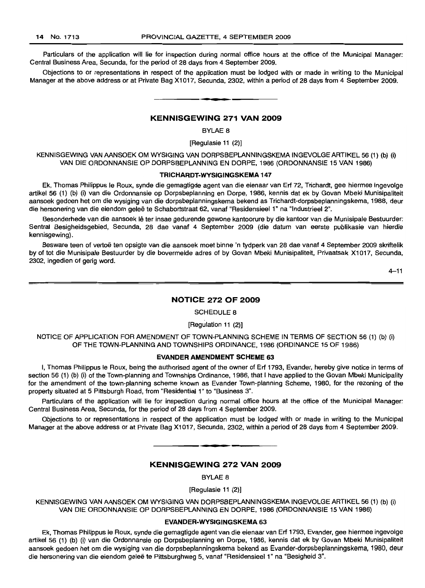Particulars of the application will lie for inspection during normal office hours at the office of the Municipal Manager: Central Business Area, Secunda, for the period of 28 days from 4 September 2009.

Objections to or representations in respect of the application must be lodged with or made in writing to the Municipal Manager at the above address or at Private Bag X1017, Secunda, 2302, within a period of 28 days from 4 September 2009.

#### KENNISGEWING 271 VAN 2009

**-**

BYLAE 8

[Regulasie 11 (2)]

KENNISGEWING VAN AANSOEK OM WYSIGING VAN DORPSBEPLANNINGSKEMA INGEVOLGE ARTIKEL 56 (1) (b) (i) VAN DIE ORDONNANSIE OP DORPSBEPLANNING EN DORPE, 1986 (ORDONNANSIE 15 VAN 1986)

#### TRICHARDT·WYSIGINGSKEMA 147

Ek, Thomas Philippus Ie Roux, synde die gemagtigde agent van die eienaar van Erf 72, Trichardt, gee hiermee ingevolge artikel 56 (1) (b) (i) van die Ordonnansie op Dorpsbeplanning en Dorpe, 1986, kennis dat ek by Govan Mbeki Munisipaliteit aansoek gedoen het om die wysiging van die dorpsbeplanningskema bekend as Trichardt-dorpsbeplanningskema, 1988, deur die hersonering van die eiendom geleë te Schabortstraat 62, vanaf "Residensieel 1" na "Industrieel 2".

Besonderhede van die aansoek lê ter insae gedurende gewone kantoorure by die kantoor van die Munisipale Bestuurder: Sentral Besigheidsgebied, Secunda, 28 dae vanaf 4 September 2009 (die datum van eerste publikasie van hierdie kennisgewing).

Besware teen of vertoe ten opsigte van die aansoek moet binne 'n tydperk van 28 dae vanaf 4 September 2009 skriftelik by of tot die Munisipale Bestuurder by die bovermelde adres of by Govan Mbeki Munisipaliteit, Privaatsak X1017, Secunda, 2302, ingedien of gerig word.

 $4 - 11$ 

#### NOTICE 272 OF 2009

SCHEDULE 8

#### [Regulation 11 (2)]

NOTICE OF APPLICATION FOR AMENDMENT OF TOWN-PLANNING SCHEME IN TERMS OF SECTION 56 (1) (b) (i) OF THE TOWN-PLANNING AND TOWNSHIPS ORDINANCE, 1986 (ORDINANCE 15 OF 1986)

#### EVANDER AMENDMENT SCHEME 63

I, Thomas Philippus Ie Roux, being the authorised agent of the owner of Erf 1793, Evander, hereby give notice in terms of section 56 (1) (b) (i) of the Town-planning and Townships Ordinance, 1986, that I have applied to the Govan Mbeki Municipality for the amendment of the town-planning scheme known as Evander Town-planning Scheme, 1980, for the rezoning of the property situated at 5 Pittsburgh Road, from "Residential 1" to "Business 3".

Particulars of the application will lie for inspection during normal office hours at the office of the Municipal Manager: Central Business Area, Secunda, for the period of 28 days from 4 September 2009.

Objections to or representations in respect of the application must be lodged with or made in writing to the Municipal Manager at the above address or at Private Bag X1017, Secunda, 2302, within a period of 28 days from 4 September 2009.

**• I**

#### KENNISGEWING 272 VAN 2009

BYLAE 8

[Regulasie 11 (2)]

KENNISGEWING VAN AANSOEK OM WYSIGING VAN DORPSBEPLANNINGSKEMA INGEVOLGE ARTIKEL 56 (1) (b) (i) VAN DIE ORDONNANSIE OP DORPSBEPLANNING EN DORPE, 1986 (ORDONNANSIE 15 VAN 1986)

#### EVANDER-WYSIGINGSKEMA 63

Ek, Thomas Philippus Ie Roux, synde die gemagtigde agent van die eienaar van Erf 1793, Evander, gee hiermee ingevolge artikel 56 (1) (b) (i) van die Ordonnansie op Dorpsbeplanning en Dorpe, 1986, kennis dat ek by Govan Mbeki Munisipaliteit aansoek gedoen het om die wysiging van die dorpsbeplanningskema bekend as Evander-dorpsbeplanningskema, 1980, deur die hersonering van die eiendom geleë te Pittsburghweg 5, vanaf "Residensieel 1" na "Besigheid 3".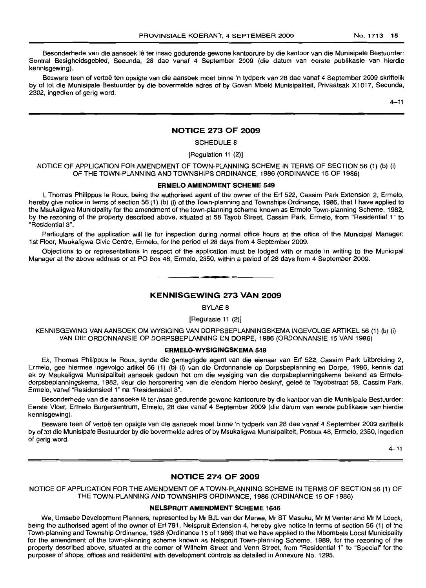Besonderhede van die aansoek lê ter insae gedurende gewone kantoorure by die kantoor van die Munisipale Bestuurder: Sentral Besigheidsgebied, Secunda, 28 dae vanaf 4 September 2009 (die datum van eerste publikasle van hierdie kennisgewing).

Besware teen of vertoe ten opsigte van die aansoek moet binne 'n tydperk van 28 dae vanaf 4 September 2009 skriftelik by of tot die Munisipale Bestuurder by die bovermelde adres of by Govan Mbeki Munisipaliteit, Privaatsak X1017, Secunda, 2302, ingedien of gerig word.

 $4 - 11$ 

#### **NOTICE 273 OF 2009**

## SCHEDULE 8

#### [Regulation 11 (2)]

NOTICE OF APPLICATION FOR AMENDMENT OF TOWN-PLANNING SCHEME IN TERMS OF SECTION 56 (1) (b) (i) OF THE TOWN-PLANNING AND TOWNSHIPS ORDINANCE, 1986 (ORDINANCE 15 OF 1986)

#### **ERMELO AMENDMENT SCHEME** 549

I, Thomas Philippus Ie Roux, being the authorised agent of the owner of the Erf 522, Cassim Park Extension 2, Ermelo, hereby give notice in terms of section 56 (1) (b) (i) of the Town-planning and Townships Ordinance, 1986, that I have applied to the Msukaligwa Municipality for the amendment of the town-planning scheme known as Ermelo Town-planning Scheme, 1982, by the rezoning of the property described above, situated at 58 Tayob Street, Cassim Park, Ermelo, from "Residential 1" to "Residential 3".

Particulars of the application will lie for inspection during normal office hours at the office of the Municipal Manager: 1st Floor, Msukaligwa Civic Centre, Ermelo, for the period of 28 days from 4 September 2009.

Objections to or representations in respect of the application must be lodged with or made in writing to the Municipal Manager at the above address or at PO Box 48, Ermelo, 2350, within a period of 28 days from 4 September 2009.

# **KENNISGEWING 273 VAN 2009**

**I •**

BYLAE 8

[Regulasie 11 (2)]

KENNISGEWING VAN AANSOEK OM WYSIGING VAN DORPSBEPLANNINGSKEMA INGEVOLGE ARTIKEL 56 (1) (b) (i) VAN DIE ORDONNANSIE OP DORPSBEPLANNING EN DORPE, 1986 (ORDONNANSIE 15 VAN 1986)

### **ERMELO-WYSIGINGSKEMA** 549

Ek, Thomas Philippus Ie Roux, synde die gemagtigde agent van die eienaar van Erf 522, Cassim Park Uitbreiding 2, Ermelo, gee hiermee ingevolge artikel 56 (1) (b) (i) van die Ordonnansie op Dorpsbeplanning en Dorpe, 1986, kennis dat ek by Msukaligwa Munisipaliteit aansoek gedoen het om die wysiging van die dorpsbeplanningskema bekend as Ermelodorpsbeplanningskema, 1982, deur die hersonering van die eiendom hierbo beskryf, gelee te Tayobstraat 58, Cassim Park, Ermelo, vanaf "Residensieel 1" na "Residensieel 3".

Besonderhede van die aansoeke lê ter insae gedurende gewone kantoorure by die kantoor van die Munisipale Bestuurder: Eerste Vloer, Ermelo Burgersentrum, Ermelo, 28 dae vanaf 4 September 2009 (die datum van eerste publikasie van hierdie kennisgewing).

Besware teen of vertoe ten opsigte van die aansoek moet binne 'n tydperk van 28 dae vanaf 4 September 2009 skriftelik by of tot die Munisipale Bestuurder by die bovermelde adres of by Msukaligwa Munisipaliteit, Posbus 48, Ermelo, 2350, ingedien of gerig word.

4-11

#### **NOTICE 274 OF 2009**

NOTICE OF APPLICATION FOR THE AMENDMENT OF A TOWN-PLANNING SCHEME IN TERMS OF SECTION 56 (1) OF THE TOWN-PLANNING AND TOWNSHIPS ORDINANCE, 1986 (ORDINANCE 15 OF 1986)

#### **NELSPRUIT AMENDMENT SCHEME** 1646

We, Umsebe Development Planners, represented by Mr BJL van der Merwe, Mr ST Masuku, Mr M Venter and Mr M Loock, being the authorised agent of the owner of Erf 791, Nelspruit Extension 4, hereby give notice in terms of section 56 (1) of the Town-planning and Township Ordinance, 1986 (Ordinance 15 of 1986) that we have applied to the Mbombela Local Municipality for the amendment of the town-planning scheme known as Nelspruit Town-planning Scheme, 1989, for the rezoning of the property described above, situated at the corner of Wilhelm Street and Venn Street, from "Residential 1" to "Special" for the purposes of shops, offices and residential with development controls as detailed in Annexure No. 1295.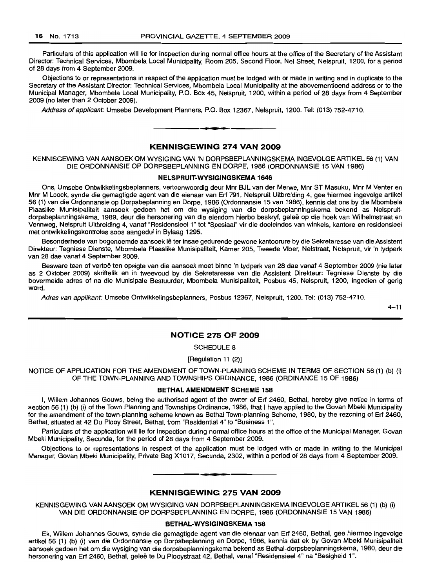Particulars of this application will lie for inspection during normal office hours at the office of the Secretary of the Assistant Director: Technical Services, Mbombela Local Municipality, Room 205, Second Floor, Nel Street, Nelspruit, 1200, for a period of 28 days from 4 September 2009.

Objections to or representations in respect of the application must be lodged with or made in writing and in duplicate to the Secretary of the Assistant Director: Technical Services, Mbombela Local Municipality at the abovementioend address or to the Municipal Manager, Mbombela Local Municipality, PO. Box 45, Nelspruit, 1200, within a period of 28 days from 4 September 2009 (no later than 2 October 2009).

Address of applicant: Umsebe Development Planners, P.O. Box 12367, Nelspruit, 1200. Tel: (013) 752-4710.

#### **KENNISGEWING 274 VAN 2009**

**.-**

KENNISGEWING VAN AANSOEK OM WYSIGING VAN 'N DORPSBEPLANNINGSKEMA INGEVOLGE ARTIKEL 56 (1) VAN DIE ORDONNANSIE OP DORPSBEPLANNING EN DORPE, 1986 (ORDONNANSIE 15 VAN 1986)

#### **NELSPRUIT-WYSIGINGSKEMA 1646**

Ons, Umsebe Ontwikkelingsbeplanners, verteenwoordig deur Mnr BJL van der Merwe, Mnr ST Masuku, Mnr M Venter en Mnr M Loock, synde die gemagtigde agent van die eienaar van Erf 791, Nelspruit Uitbreiding 4, gee hiermee ingevolge artikel 56 (1) van die Ordonnansie op Dorpsbeplanning en Dorpe, 1986 (Ordonnansie 15 van 1986), kennis dat ons by die Mbombela Plaaslike Munisipaliteit aansoek gedoen het om die wysiging van die dorpsbeplanningskema bekend as Nelspruitdorpsbeplanningskema, 1989, deur die hersonering van die eiendom hierbo beskryf, gelee op die hoek van Wilhelmstraat en Vennweg, Nelspruit Llitbreiding 4, vanaf "Residensieel 1" tot "Spesiaal" vir die doeleindes van winkels, kantore en residensieel met ontwikkelingskontroles 5005 aangedui in By!aag 1295.

Besonderhede van bogenoemde aansoek lê ter insae gedurende gewone kantoorure by die Sekretaresse van die Assistent Direkteur: Tegniese Dienste, Mbombela Plaaslike Munisipaliteit, Kamer 205, Tweede Vloer, Nelstraat, Nelspruit, vir 'n tydperk van 28 dae vanaf 4 September 2009.

Besware teen of vertoe ten opsigte van die aansoek moet binne 'n tydperk van 28 dae vanaf 4 September 2009 (nie later as 2 Oktober 2009) skriftelik en in tweevoud by die Sekretaresse van die Assistent Direkteur: Tegniese Dienste by die bovermelde adres of na die Munisipale Bestuurder, Mbombela Munisipaliteit, Posbus 45, Nelspruit, 1200, ingedien of gerig word.

Adres van applikant: Umsebe Ontwikkelingsbeplanners, Posbus 12367, Nelspruit, 1200. Tel: (013) 752-4710.

 $4 - 11$ 

#### **NOTICE 275 OF 2009**

SCHEDULE 8

[Regulation 11 (2)]

NOTICE OF APPLICATION FOR THE AMENDMENT OF TOWN-PLANNING SCHEME IN TERMS OF SECTION 56 (1) (b) (i) OF THE TOWN-PLANNING AND TOWNSHIPS ORDINANCE, 1986 (ORDINANCE 15 OF 1986)

#### **BETHALAMENDMENT SCHEME 158**

I, Willem Johannes Gouws, being the authorised agent of the owner of Erf 2460, Bethal, hereby give notice in terms of section 56 (1) (b) (i) of the Town Planning and Townships Ordinance, 1986, that I have applied to the Govan Mbeki Municipality for the amendment of the town-planning scheme known as Bethal Town-planning Scheme, 1980, by the rezoning of Erf 2460, Bethal, situated at 42 Du Plooy Street, Bethal, from "Residential 4" to "Business 1",

Particulars of the application will lie for inspection during normal office hours at the office of the Municipal Manager, Govan Mbeki Municipality, Secunda, for the period of 28 days from 4 September 2009.

Objections to or representations in respect of the application must be lodged with or made in writing to the Municipal Manager, Govan Mbeki Municipality, Private Bag X1017, Secunda,2302, within a period of 28 days from 4 September 2009.

#### **KENNISGEWING 275 VAN 2009**

**• E**

KENNISGEWING VAN AANSOEK OM WYSIGING VAN DORPSBEPLANNINGSKEMA INGEVOLGE ARTIKEL 56 (1) (b) (i) VAN DIE ORDONNANSIE OP DORPSBEPLANNING EN DORPE, 1986 (ORDONNANSIE 15 VAN 1986)

#### **BETHAL-WYSIGINGSKEMA 158**

Ek, Willem Johannes Gouws, synde die gemagtigde agent van die eienaar van Erf 2460, Bethal, gee hiermee ingevolge artikel 56 (1) (b) (i) van die Ordonnansie op Dorpsbeplanning en Dorpe, 1986, kennis dat ek by Govan Mbeki Munisipaliteit aansoek gedoen het om die wysiging van die dorpsbeplanningskema bekend as Bethal-dorpsbeplanningskema, 1980, deur die hersonering van Erf 2460, Bethal, geleë te Du Plooystraat 42, Bethal, vanaf "Residensieel 4" na "Besigheid 1".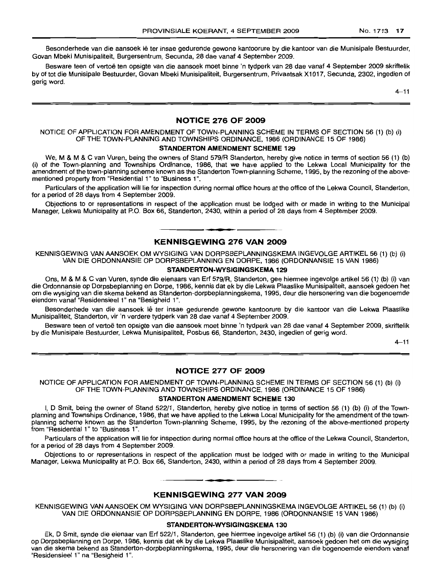Besonderhede van die aansoek lê ter insae gedurende gewone kantoorure by die kantoor van die Munisipale Bestuurder, Govan Mbeki Munisipaliteit, Burgersentrum, Secunda, 28 dae vanaf 4 September 2009.

Besware teen of vertoë ten opsigte van die aansoek moet binne 'n tydperk van 28 dae vanaf 4 September 2009 skriftelik by of tot die Munisipale Bestuurder, Govan Mbeki Munisipaliteit, Burgersentrum, Privaatsak Xl 017, Secunda, 2302, ingedien of gerig word.

 $4 - 11$ 

# **NOTICE 276 OF 2009**

# NOTICE OF APPLICATION FOR AMENDMENT OF TOWN-PLANNING SCHEME IN TERMS OF SECTION 56 (1) (b) (i) OF THE TOWN-PLANNING AND TOWNSHIPS ORDINANCE, 1986 (ORDINANCE 15 OF 1986)

#### **STANDERTON AMENDMENT SCHEME 129**

We, M & M & C van Vuren, being the owners of Stand 579/R Standerton, hereby give notice in terms of section 56 (1) (b) (i) of the Town-planning and Townships Ordinance, 1986, that we have applied to the Lekwa Local Municipality for the amendment of the town-planning scheme known as the Standerton Town-planning Scheme, 1995, by the rezoning of the abovementioned property from "Residential 1" to "Business 1'',

Particulars of the application will lie for inspection during normal office hours at the office of the Lekwa Council, Standerton, for a period of 28 days from 4 September 2009.

Objections to or representations in respect of the application must be lodged with or made in writing to the Municipal Manager, Lekwa Municipality at P.O. Box 66, Standerton, 2430, within a period of 28 days from 4 September 2009.

## **KENNISGEWING 276 VAN 2009**

**I •**

KENNISGEWING VAN AANSOEK OM WYSIGING VAN DORPSBEPLANNINGSKEMA INGEVOLGE ARTIKEL 56 (1) (b) (i) VAN DIE ORDONNANSIE OP DORPSBEPLANNING EN DORPE, 1986 (ORDONNANSIE 15 VAN 1986)

### **STANDERTON-WYSIGINGSKEMA 129**

Ons, M & M & C van Vuren, synde die eienaars van Erf 579/R, Standerton, gee hiermee ingevolge artikel 56 (1) (b) (i) van die Ordonnansie op Dorpsbeplanning en Dorpe, 1986, kennis dat ek by die Lekwa Plaaslike Munisipaliteit, aansoek gedoen het om die wysiging van die skema bekend as Standerton-dorpbeplanningskema, 1995, deur die hersonering van die bogenoemde eiendom vanaf "Residensieel 1" na "Besigheid 1".

Besonderhede van die aansoek lê ter insae gedurende gewone kantoorure by die kantoor van die Lekwa Plaaslike Munisipaliteit, Standerton, vir 'n verdere tydperk van 28 dae vanaf 4 September 2009.

Besware teen of vertoë ten opsigte van die aansoek moet binne 'n tydperk van 28 dae vanaf 4 September 2009, skriftelik by die Munisipale Bestuurder, Lekwa Munisipaliteit, Posbus 66, Standerton, 2430, ingedien of gerig word.

 $4 - 11$ 

# **NOTICE 277 OF 2009**

NOTICE OF APPLICATION FOR AMENDMENT OF TOWN-PLANNING SCHEME IN TERMS OF SECTION 56 (1) (b) (i) OF THE TOWN-PLANNING AND TOWNSHIPS ORDINANCE, 1986 (ORDINANCE 15 OF 1986)

## **STANDERTON AMENDMENT SCHEME 130**

I, D Smit, being the owner of Stand 522/1, Standerton, hereby give notice in terms of section 56 (1) (b) (i) of the Townplanning and Townships Ordinance, 1986, that we have applied to the Lekwa Local Municipality for the amendment of the townplanning scheme known as the Standerton Town-planning Scheme, 1995, by the rezoning of the above-mentioned property from "Residential 1" to "Business 1".

Particulars of the application will lie for inspection during normal office hours at the office of the Lekwa Council, Standerton, for a period of 28 days from 4 September 2009.

Objections to or representations in respect of the application must be lodged with or made in writing to the Municipal Manager, Lekwa Municipality at P.O. Box 66, Standerton, 2430, within a period of 28 days from 4 September 2009.

#### **KENNISGEWING 277 VAN 2009**

**• •**

KENNISGEWING VAN AANSOEK OM WYSIGING VAN DORPSBEPLANNINGSKEMA INGEVOLGE ARTIKEL 56 (1) (b) (i) VAN DIE ORDONNANSIE OP DORPSBEPLANNING EN DORPE, 1986 (ORDONNANSIE 15 VAN 1986)

#### **STANDERTON-WYSIGINGSKEMA 130**

Ek, D Smit, synde die eienaar van Erf 522/1, Standerton, gee hiermee ingevolge artikel 56 (1) (b) (i) van die Ordonnansie op Dorpsbeplanning en Dorpe, 1986, kennis dat ek by die Lekwa Plaaslike Munisipaliteit, aansoek gedoen het om die wysiging van die skema bekend as Standerton-dorpbeplanningskema, 1995, deur die hersonering van die bogenoemde eiendom vanaf "Residensieel 1" na "Besigheid 1".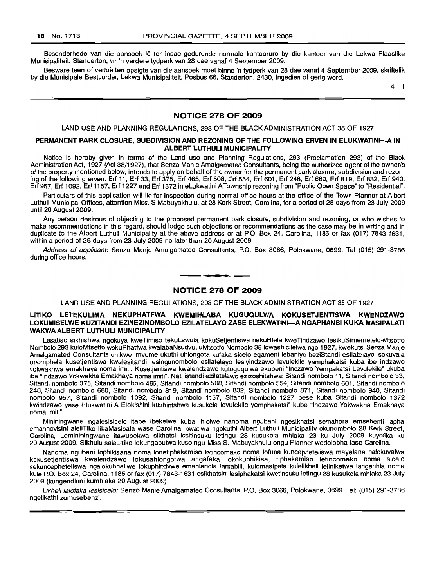Besonderhede van die aansoek lê ter insae gedurende normale kantoorure by die kantoor van die Lekwa Plaaslike Munisipaliteit, Standerton, vir 'n verdere tydperk van 28 dae vanaf 4 September 2009.

Besware teen of vertoe ten opsigte van die aansoek moet binne 'n tydperk van 28 dae vanaf 4 September 2009, skriftelik by die Munisipale Bestuurder, Lekwa Munisipaliteit, Posbus 66, Standerton, 2430, ingedien of gerig word.

4-11

#### **NOTICE 278 OF 2009**

#### LAND USE AND PLANNING REGULATIONS, 293 OF THE BLACK ADMINISTRATION ACT 38 OF 1927

#### **PERMANENT PARK CLOSURE, SUBDIVISION AND REZONING OF THE FOLLOWING ERVEN IN ELUKWATINI-A IN ALBERT LUTHULI MUNICIPALITY**

Notice is hereby given in terms of the Land use and Planning Regulations, 293 (Proclamation 293) of the Black Administration Act, 1927 (Act 38/1927), that Senza Manje Amalgamated Consultants, being the authorized agent of the owner/s of the property mentioned below, intends to apply on behalf of the owner for the permanent park closure, subdivision and rezoning of the following erven: Erf 11, Erf 33, Erf 375, Erf 465, Erf 508, Erf 554, Erf 601, Erf 248, Erf 680, Erf 819, Erf 832, Erf 940, Erf 957, Erf 1092, Erf 1157, Erf 1227 and Erf 1372 in eLukwatini A Township rezoning from "Public Open Space" to "Residential".

Particulars of this application will lie for inspection during normal office hours at the office of the Town Planner at Albert Luthuli Municipal Offices, attention Miss. S Mabuyakhulu, at 28 Kerk Street, Carolina, for a period of 28 days from 23 JUly 2009 until 20 August 2009.

Any person desirous of objecting to the proposed permanent park closure, subdivision and rezoning, or who wishes to make recommendations in this regard, should lodge such objections or recommendations as the case may be in writing and in duplicate to the Albert Luthuli Municipality at the above address or at P.O. Box 24, Carolina, 1185 or fax (017) 7843-1631, within a period of 28 days from 23 July 2009 no later than 20 August 2009.

Address of applicant: Senza Manje Amalgamated Consultants, P.O. Box 3066, Polokwane, 0699. Tel (015) 291-3786 during office hours.

# **• NOTICE 278 OF 2009**

LAND USE AND PLANNING REGULATIONS, 293 OF THE BLACK ADMINISTRATION ACT 38 OF 1927

#### **LITIKO LETEKULIMA NEKUPHATFWA KWEMIHLABA KUGUQULWA KOKUSETJENTISWA KWENDZAWO LOKUMISELWE KUZITANDI EZINEZINOMBOLO EZILATELAYO ZASE ELEKWATINI-A NGAPHANSI KUKA MASIPALATI WAKWAALBERT LUTHULI MUNICIPALITY**

Lesatiso sikhishwa ngokuya kweTimiso tekuLawula kokuSetjentiswa nekuHlela kweTindzawo lesikuSimemetelo-Mtsetfo Nombolo 293 kufoMtsetfo wokuPhatfwa kwalabaNsudvu, uMtsetfo Nombolo 38 lowashicilelwa ngo 1927, kwekutsi Senza Manje Amalgamated Consultants unikwe imvume ukuthi uhlongota kufaka sicelo egameni lebaniyo beziStandi esilatelayo, sokuvala unomphela kusetjentiswa kwalesitandi lesingunombolo esilatelayo lesiyindzawo levulekile yemphakatsi kuba ibe indzawo yokwakhwa emakhaya noma imiti. Kusetjentiswa kwalendzawo kutoguqulwa ekubeni "Indzawo Yempakatsi Levulekile" ukuba ibe "Indzawo Yokwakha Emakhaya noma imiti". Nati istandi ezilatelawo ezizoshitshwa: Sitandi nombolo 11, Sitandi nombolo 33, Sitandi nombolo 375, Sitandi nombolo 465, Sitandi nombolo 508, Sitandi nombolo 554, Sitandi nombolo 601, Sitandi nombolo 248, Sitandi nombolo 680, Sitandi nombolo 819, Sitandi nombolo 832, Sitandi nombolo 871, Sitandi nombolo 940, Sitandi nombolo 957, Sitandi nombolo 1092, Sitandi nombolo 1157, Sitandi nombolo 1227 bese kuba Sitandi nombolo 1372 kwindzawo yase Elukwatini A Elokishini kushintshwa kusukela levulekile yemphakatsi" kube "Indzawo Yokwakha Emakhaya noma imiti".

Mininingwane ngalesisicelo itabe ibekelwe kuba ihlolwe nanoma ngubani ngesikhatsi semahora emsebenti lapha emahhovisini aleliTiko likaMasipala wase Carolina, owatiwa ngokuthi Albert Luthuli Municipality okunombolo 28 Kerk Street, Carolina, Lemininingwane itawubekwa sikhatsi lesitinsuku letingu 28 kusukela mhlaka 23 ku July 2009 kuyofika ku 20 August 2009. Sikhulu saleLitiko lekungabutwa kuso ngu Miss S. Mabuyakhulu ongu Planner wedolobha lase Carolina.

Nanoma ngubani lophikisana noma lonetiphakamiso letincomako noma lofuna kuncepheteliswa mayelana nalokuvalwa kokusetjentiswa kwalendzawo lokusahlongotwa angafaka lokokuphikisa, tiphakamiso letincomako noma sicelo sekuncepheteliswa ngalokubhaliwe lokuphindvwe emahlandla lamabili, kulomasipala kulelikheli leliniketwe langenhla noma kule P.O. Box 24, Carolina, 1185 or fax (017) 7843-1631 esikhatsini lesiphakatsi kwetinsuku letingu 28 kusukela mhlaka 23 July 2009 (kungendluni kumhlaka 20 August 2009).

Likheli lalofaka lesisicelo: Senzo Manje Amalgamated Consultants, P.O. Box 3066, Polokwane, 0699. Tel: (015) 291-3786 ngetikathi zomusebenzi.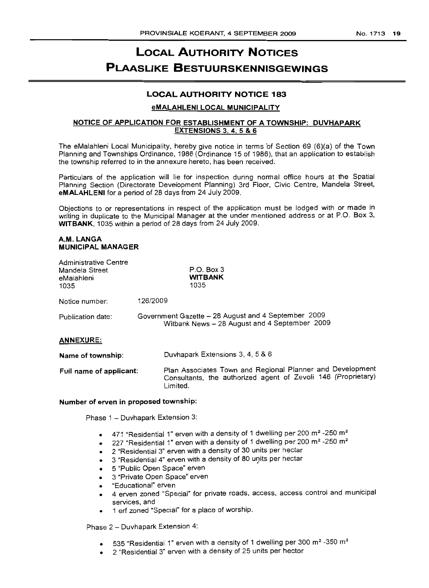# **LOCAL AUTHORITY NOTICES PLAASLIKE BESTUURSKENNISGEWINGS**

# **LOCAL AUTHORITY NOTICE 183**

## **eMALAHLENI LOCAL MUNICIPALITY**

# **NOTICE OF APPLICATION FOR ESTABLISHMENT OF A TOWNSHIP: DUVHAPARK EXTENSIONS** 3, 4. 5 **& 6**

The eMalahleni Local Municipality, hereby give notice in terms 'of Section 69 (6)(a) of the Town Planning and Townships Ordinance, 1986 (Ordinance 15 of 1986), that an application to establish the township referred to in the annexure hereto, has been received.

Particulars of the application will lie for inspection during normal office hours at the Spatial Planning Section (Directorate Development Planning) 3rd Floor, Civic Centre, Mandela Street, **eMALAHLENI** for a period of 28 days from 24 July 2009.

Objections to or representations in respect of the application must be lodged with or made in writing in duplicate to the Municipal Manager at the under mentioned address or at P.O. Box 3, **WITBANK,** 1035 within a period of 28 days from 24 July 2009.

# **A.M. LANGA MUNICIPAL MANAGER**

| <b>Administrative Centre</b><br>Mandela Street<br>eMalahleni<br>1035 | $P.O.$ Box 3<br><b>WITBANK</b><br>1035                                                               |
|----------------------------------------------------------------------|------------------------------------------------------------------------------------------------------|
| Notice number:                                                       | 126/2009                                                                                             |
| Publication date:                                                    | Government Gazette - 28 August and 4 September 2009<br>Witbank News - 28 August and 4 September 2009 |
| <b>ANNEXURE:</b>                                                     |                                                                                                      |

**Name of township: Full name of applicant:** Duvhapark Extensions 3, 4, 5 & 6 Plan Associates Town and Regional Planner and Development Consultants, the authorized agent of Zevoli 146 (Proprietary) Limited.

#### **Number of erven in proposed township:**

Phase 1 - Duvhapark Extension 3:

- 471 "Residential 1" erven with a density of 1 dwelling per 200 m<sup>2</sup> -250 m<sup>2</sup>
- 227 "Residential 1" erven with a density of 1 dwelling per 200 m<sup>2</sup> -250 m<sup>2</sup>
- 2 "Residential 3" erven with a density of 30 units per hectar
- 3 "Residential 4" erven with a density of 80 units per hectar
- 5 "Public Open Space" erven
- 3 "Private Open Space" erven
- "Educational" erven
- 4 erven zoned "Special" for private roads, access, access control and municipal services, and
- 1 erf zoned "Special" for a place of worship.

Phase 2 - Duvhapark Extension 4:

- 535 "Residential 1" erven with a density of 1 dwelling per 300 m<sup>2</sup> -350 m<sup>2</sup>
- 2 "Residential 3" erven with a density of 25 units per hector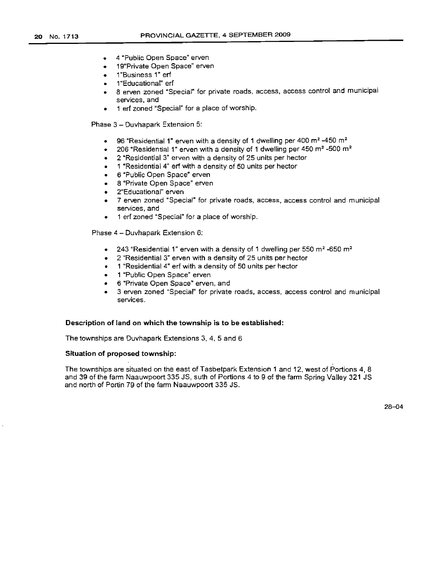- 4 "Public Open Space" erven
- 19"Private Open Space" erven
- 1"Business 1" erf
- 1"Educational" erf
- 8 erven zoned "Special" for private roads, access, access control and municipal services, and
- 1 erf zoned "Special" for a place of worship.

Phase 3 - Duvhapark Extension 5:

- 96 "Residential 1" erven with a density of 1 dwelling per 400 m<sup>2</sup> -450 m<sup>2</sup>
- 206 "Residential 1" erven with a density of 1 dwelling per 450  $m<sup>2</sup>$  -500  $m<sup>2</sup>$
- 2 "Residential 3" erven with a density of 25 units per hector
- 1 "Residential 4" erf with a density of 50 units per hector
- 6 "Public Open Space" erven
- 8 "Private Open Space" erven
- 2"Educational" erven
- 7 erven zoned "Special" for private roads, access, access control and municipal services, and
- 1 erf zoned "Special" for a place of worship.

Phase 4 - Duvhapark Extension 6:

- 243 "Residential 1" erven with a density of 1 dwelling per 550  $m^2$  -650  $m^2$
- 2 "Residential 3" erven with a density of 25 units per hector
- 1 "Residential 4" erf with a density of 50 units per hector
- 1 "Public Open Space" erven
- 6 "Private Open Space" erven, and
- 3 erven zoned "Special" for private roads, access, access control and municipal services.

#### Description of land on which the township is to be established:

The townships are Duvhapark Extensions 3, 4, 5 and 6

# Situation of proposed township:

The townships are situated on the east of Tasbetpark Extension 1 and 12, west of Portions 4, 8 and 39 of the farm Naauwpoort 335 JS, suth of Portions 4 to 9 of the farm Spring Valley 321 JS and north of Portin 79 of the farm Naauwpoort 335 JS.

28-04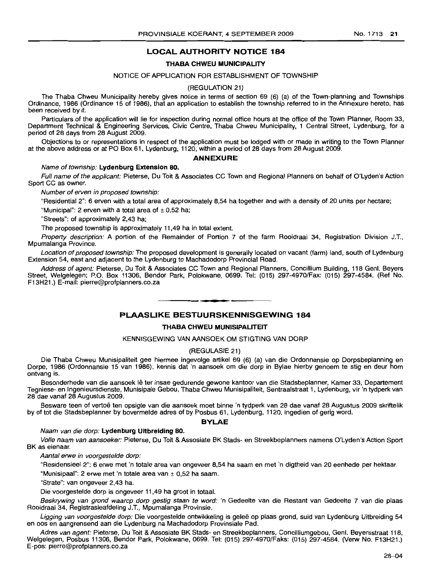# **LOCAL AUTHORITY NOTICE 184**

#### **THABA CHWEU MUNICIPALITY**

#### NOTICE OF APPLICATION FOR ESTABLISHMENT OF TOWNSHIP

#### (REGULATION 21)

The Thaba Chweu Municipality hereby gives notice in terms of section 69 (6) (a) of the Town-planning and Townships Ordinance, 1986 (Ordinance 15 of 1986), that an application to establish the township referred to in the Annexure hereto, has been received by it.

Particulars of the application will lie for inspection during normal office hours at the office of the Town Planner, Room 33, Department Technical & Engineering Services, Civic Centre, Thaba Chweu Municipality, 1 Central Street, Lydenburg, for a period of 28 days from 28 August 2009.

Objections to or representations in respect of the application must be lodged with or made in writing to the Town Planner at the above address or at PO Box 61, Lydenburg, 1120, within a period of 28 days from 28 August 2009.

#### **ANNEXURE**

### Name of township: **Lydenburg Extension 80.**

Full name of the applicant: Pieterse, Du Toit & Associates CC Town and Regional Planners on behalf of O'Lyden's Action Sport CC as owner.

Number of erven in proposed township:

"Residential 2": 6 erven with a total area of approximately 8,54 ha together and with a density of 20 units per hectare;

"Municipal": 2 erven with a total area of  $\pm$  0,52 ha;

"Streets": of approximately 2,43 ha;

The proposed township is approximately 11,49 ha in total extent.

Property description: A portion of the Remainder of Portion 7 of the farm Rooidraai 34, Registration Division J.T., Mpumalanga Province.

Location of proposed township: The proposed development is generally located on vacant (farm) land, south of Lydenburg Extension 54, east and adjacent to the Lydenburg to Machadodorp Provincial Road.

Address of agent: Pieterse, Du Toit & Associates CC Town and Regional Planners, Concillium Building, 118 Genl. Beyers Street, Welgelegen; P.O. Box 11306, Bendor Park, Polokwane, 0699. Tel: (015) 297-4970/Fax: (015) 297-4584. (Ref No. F13H21.) E-mail: pierre@profplanners.co.za

## **PLAASLIKE BESTUURSKENNISGEWING 184**

**.-**

#### **THABA CHWEU MUNISIPALITEIT**

#### KENNISGEWING VAN AANSOEK OM STIGTING VAN DORP

#### (REGULASIE 21)

Die Thaba Chweu Munisipaliteit gee hiermee ingevolge artikel 69 (6) (a) van die Ordonnansie op Dorpsbeplanning en Dorpe, 1986 (Ordonnansie 15 van 1986), kennis dat 'n aansoek om die dorp in Bylae hierby genoem te stig en deur hom ontvang is.

Besonderhede van die aansoek lê ter insae gedurende gewone kantoor van die Stadsbeplanner, Kamer 33, Departement Tegniese- en Ingenieursdienste, Munisipale Gebou, Thaba Chweu Munisipaliteit, Sentraafstraat 1, Lydenburg, vir 'n tydperk van 28 dae vanaf 28 Augustus 2009.

Besware teen of vertoe ten opsigte van die aansoek moet binne 'n tydperk van 28 dae vanaf 28 Augustus 2009 skriftelik by of tot die Stadsbeplanner by bovermelde adres of by Posbus 61, Lydenburg, 1120, ingedien of gerig word.

#### **BYLAE**

#### Naam van die dorp: **Lydenburg Uitbreiding 80.**

Volle naam van aansoeker: Pieterse, Du Toit & Assosiate BK Stads- en Streekbeplanners namens O'Lyden's Action Sport BK as eienaar.

Aantal erwe in voorgestelde dorp:

"Residensieel 2": 6 erwe met 'n totale area van ongeveer 8,54 ha saam en met 'n digtheid van 20 eenhede per hektaar.

"Munisipaal": 2 erwe met 'n totale area van ± 0,52 ha saam.

"Strate": van ongeveer 2,43 ha.

Die voorgestelde dorp is ongeveer 11,49 ha groot in totaal.

Beskrywing van grond waarop dorp gestig staan te word: 'n Gedeelte van die Restant van Gedeelte 7 van die plaas Rooidraai 34, Registrasieafdeling J.T., Mpumalanga Provinsie.

Ligging van voorgestelde dorp: Die voorgestelde ontwikkeling is geleë op plaas grond, suid van Lydenburg Uitbreiding 54 en oos en aangrensend aan die Lydenburg na Machadodorp Provinsiale Pad.

Adres van agent: Pieterse, Du Toit & Assosiate BK Stads- en Streekbeplanners, Concilliumgebou, Genl. Beyersstraat 118, Welgelegen, Posbus 11306, Bendor Park, Polokwane, 0699. Tel: (015) 297-4970/Faks: (015) 297-4584. (Verw No. F13H21.) E-pos: pierre@profplanners.co.za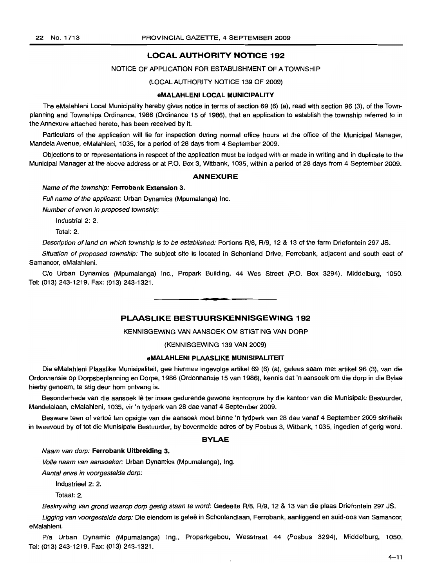## **LOCAL AUTHORITY NOTICE 192**

#### NOTICE OF APPLICATION FOR ESTABLISHMENT OF A TOWNSHIP

#### (LOCAL AUTHORITY NOTICE 139 OF 2009)

#### **eMALAHLENI LOCAL MUNICIPALITY**

The eMalahleni Local Municipality hereby gives notice in terms of section 69 (6) (a), read with section 96 (3), of the Townplanning and Townships Ordinance, 1986 (Ordinance 15 of 1986), that an application to establish the township referred to in the Annexure attached hereto, has been received by it.

Particulars of the application will lie for inspection during normal office hours at the office of the Municipal Manager, Mandela Avenue, eMalahleni, 1035, for a period of 28 days from 4 September 2009.

Objections to or representations in respect of the application must be lodged with or made in writing and in duplicate to the Municipal Manager at the above address or at P.O. Box 3, Witbank, 1035, within a period of 28 days from 4 September 2009.

#### **ANNEXURE**

Name of the township: **Ferrobank Extension** 3.

Full name of the applicant: Urban Dynamics (Mpumalanga) Inc.

Number of erven in proposed township:

Industrial 2: 2.

Total: 2.

Description of land on which township is to be established: Portions R/8, R/9, 12 & 13 of the farm Driefontein 297 JS.

Situation of proposed township: The subject site is located in Schonland Drive, Ferrobank, adjacent and south east of Samancor, eMalahleni.

*Clo* Urban Dynamics (Mpumalanga) Inc., Propark Building, 44 Wes Street (P.O. Box 3294), Middelburg, 1050. Tel: (013) 243-1219. Fax: (013) 243-1321.

# **PLAASLIKE BESTUURSKENNISGEWING 192**

**•**

KENNISGEWING VAN AANSOEK OM STIGTING VAN DORP

(KENNISGEWING 139 VAN 2009)

#### **eMALAHLENI PLAASLIKE MUNISIPALITEIT**

Die eMalahleni Plaaslike Munisipaliteit, gee hiermee ingevolge artikel 69 (6) (a), gelees saam met artikel 96 (3), van die Ordonnansie op Dorpsbeplanning en Dorpe, 1986 (Ordonnansie 15 van 1986), kennis dat 'n aansoek om die dorp in die Bylae hierby genoem, te stig deur hom ontvang is.

Besonderhede van die aansoek lê ter insae gedurende gewone kantoorure by die kantoor van die Munisipale Bestuurder, Mandelalaan, eMalahleni, 1035, vir 'n tydperk van 28 dae vanaf 4 September 2009.

Besware teen of vertoe ten opsigte van die aansoek moet binne 'n tydperk van 28 dae vanaf 4 September 2009 skriftelik in tweevoud by of tot die Munisipale Bestuurder, by bovermelde adres of by Posbus 3, Witbank, 1035, ingedien of gerig word.

#### **BYLAE**

Naam van dorp: **Ferrobank Uitbreiding** 3.

Volle naam van aansoeker: Urban Dynamics (Mpumalanga), Ing.

Aantal erwe in voorgestelde dorp:

Industrieel 2: 2.

Totaal: 2.

Beskrywing van grond waarop dorp gestig staan te word: Gedeelte R/8, R/9, 12 & 13 van die plaas Driefontein 297 JS.

Ligging van voorgestelde dorp: Die eiendom is geleë in Schonlandlaan, Ferrobank, aanliggend en suid-oos van Samancor, eMalahleni.

Pia Urban Dynamic (Mpumalanga) Ing., Proparkgebou, Wesstraat 44 (Posbus 3294), Middelburg, 1050. Tel: (013) 243-1219. Fax: (013) 243-1321.